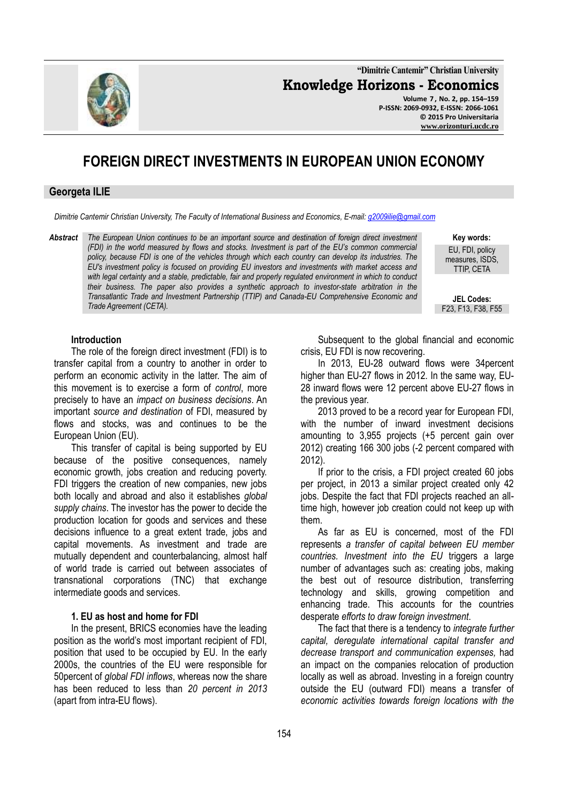

**Volume 7 , No. 2, pp. 154–159 P-ISSN: 2069-0932, E-ISSN: 2066-1061 © 2015 Pro Universitaria [www.orizonturi.](http://www.orizonturi/)ucdc.ro**

# **FOREIGN DIRECT INVESTMENTS IN EUROPEAN UNION ECONOMY**

#### **Georgeta ILIE**

*Dimitrie Cantemir Christian University, The Faculty of International Business and Economics, E-mail: [g2009ilie@gmail.com](mailto:g2009ilie@gmail.com)*

*Abstract The European Union continues to be an important source and destination of foreign direct investment (FDI) in the world measured by flows and stocks. Investment is part of the EU's common commercial policy, because FDI is one of the vehicles through which each country can develop its industries. The EU's investment policy is focused on providing EU investors and investments with market access and*  with legal certainty and a stable, predictable, fair and properly regulated environment in which to conduct *their business. The paper also provides a synthetic approach to investor-state arbitration in the Transatlantic Trade and Investment Partnership (TTIP) and Canada-EU Comprehensive Economic and Trade Agreement (CETA).*

**Key words:** 

EU, FDI, policy measures, ISDS, TTIP, CETA

**JEL Codes:** F23, F13, F38, F55

#### **Introduction**

The role of the foreign direct investment (FDI) is to transfer capital from a country to another in order to perform an economic activity in the latter. The aim of this movement is to exercise a form of *control*, more precisely to have an *impact on business decisions*. An important *source and destination* of FDI, measured by flows and stocks, was and continues to be the European Union (EU).

This transfer of capital is being supported by EU because of the positive consequences, namely economic growth, jobs creation and reducing poverty. FDI triggers the creation of new companies, new jobs both locally and abroad and also it establishes *global supply chains*. The investor has the power to decide the production location for goods and services and these decisions influence to a great extent trade, jobs and capital movements. As investment and trade are mutually dependent and counterbalancing, almost half of world trade is carried out between associates of transnational corporations (TNC) that exchange intermediate goods and services.

## **1. EU as host and home for FDI**

In the present, BRICS economies have the leading position as the world's most important recipient of FDI, position that used to be occupied by EU. In the early 2000s, the countries of the EU were responsible for 50percent of *global FDI inflows*, whereas now the share has been reduced to less than *20 percent in 2013* (apart from intra-EU flows).

Subsequent to the global financial and economic crisis, EU FDI is now recovering.

In 2013, EU-28 outward flows were 34percent higher than EU-27 flows in 2012. In the same way, EU-28 inward flows were 12 percent above EU-27 flows in the previous year.

2013 proved to be a record year for European FDI, with the number of inward investment decisions amounting to 3,955 projects (+5 percent gain over 2012) creating 166 300 jobs (-2 percent compared with 2012).

If prior to the crisis, a FDI project created 60 jobs per project, in 2013 a similar project created only 42 jobs. Despite the fact that FDI projects reached an alltime high, however job creation could not keep up with them.

As far as EU is concerned, most of the FDI represents *a transfer of capital between EU member countries. Investment into the EU* triggers a large number of advantages such as: creating jobs, making the best out of resource distribution, transferring technology and skills, growing competition and enhancing trade. This accounts for the countries desperate *efforts to draw foreign investment*.

The fact that there is a tendency to *integrate further capital, deregulate international capital transfer and decrease transport and communication expenses,* had an impact on the companies relocation of production locally as well as abroad. Investing in a foreign country outside the EU (outward FDI) means a transfer of *economic activities towards foreign locations with the* 

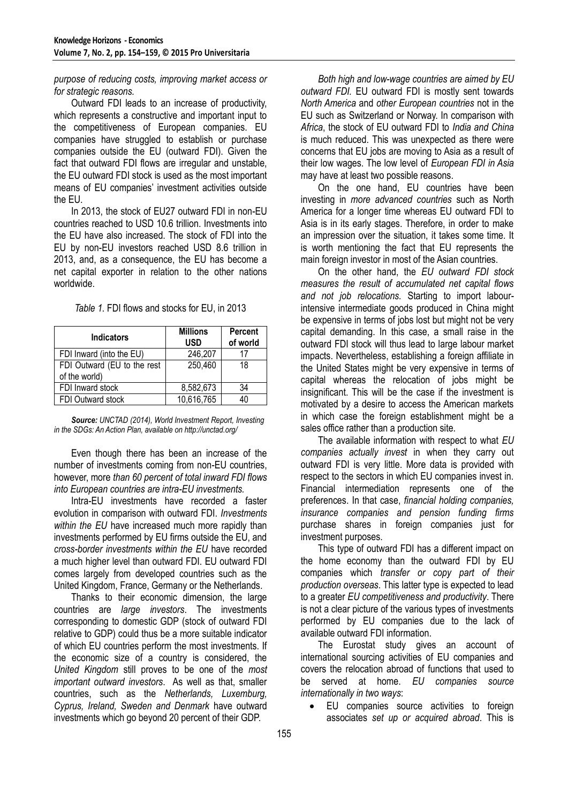# *purpose of reducing costs, improving market access or for strategic reasons.*

Outward FDI leads to an increase of productivity, which represents a constructive and important input to the competitiveness of European companies. EU companies have struggled to establish or purchase companies outside the EU (outward FDI). Given the fact that outward FDI flows are irregular and unstable, the EU outward FDI stock is used as the most important means of EU companies' investment activities outside the EU.

In 2013, the stock of EU27 outward FDI in non-EU countries reached to USD 10.6 trillion. Investments into the EU have also increased. The stock of FDI into the EU by non-EU investors reached USD 8.6 trillion in 2013, and, as a consequence, the EU has become a net capital exporter in relation to the other nations worldwide.

| <b>Indicators</b>                            | <b>Millions</b><br><b>USD</b> | <b>Percent</b><br>of world |
|----------------------------------------------|-------------------------------|----------------------------|
| FDI Inward (into the EU)                     | 246,207                       | 17                         |
| FDI Outward (EU to the rest<br>of the world) | 250,460                       | 18                         |
| FDI Inward stock                             | 8,582,673                     | 34                         |
| FDI Outward stock                            | 10,616,765                    | 40                         |

| Table 1. FDI flows and stocks for EU, in 2013 |
|-----------------------------------------------|
|-----------------------------------------------|

*Source: UNCTAD (2014), World Investment Report, Investing in the SDGs: An Action Plan, available on http://unctad.org/*

Even though there has been an increase of the number of investments coming from non-EU countries, however, more *than 60 percent of total inward FDI flows into European countries are intra-EU investments.*

Intra-EU investments have recorded a faster evolution in comparison with outward FDI. *Investments within the EU* have increased much more rapidly than investments performed by EU firms outside the EU, and *cross-border investments within the EU* have recorded a much higher level than outward FDI. EU outward FDI comes largely from developed countries such as the United Kingdom, France, Germany or the Netherlands.

Thanks to their economic dimension, the large countries are *large investors*. The investments corresponding to domestic GDP (stock of outward FDI relative to GDP) could thus be a more suitable indicator of which EU countries perform the most investments. If the economic size of a country is considered, the *United Kingdom* still proves to be one of the *most important outward investors*. As well as that, smaller countries, such as the *Netherlands, Luxemburg, Cyprus, Ireland, Sweden and Denmark* have outward investments which go beyond 20 percent of their GDP.

*Both high and low-wage countries are aimed by EU outward FDI.* EU outward FDI is mostly sent towards *North America* and *other European countries* not in the EU such as Switzerland or Norway. In comparison with *Africa*, the stock of EU outward FDI to *India and China* is much reduced. This was unexpected as there were concerns that EU jobs are moving to Asia as a result of their low wages. The low level of *European FDI in Asia* may have at least two possible reasons.

On the one hand, EU countries have been investing in *more advanced countries* such as North America for a longer time whereas EU outward FDI to Asia is in its early stages. Therefore, in order to make an impression over the situation, it takes some time. It is worth mentioning the fact that EU represents the main foreign investor in most of the Asian countries.

On the other hand, the *EU outward FDI stock measures the result of accumulated net capital flows and not job relocations.* Starting to import labourintensive intermediate goods produced in China might be expensive in terms of jobs lost but might not be very capital demanding. In this case, a small raise in the outward FDI stock will thus lead to large labour market impacts. Nevertheless, establishing a foreign affiliate in the United States might be very expensive in terms of capital whereas the relocation of jobs might be insignificant. This will be the case if the investment is motivated by a desire to access the American markets in which case the foreign establishment might be a sales office rather than a production site.

The available information with respect to what *EU companies actually invest* in when they carry out outward FDI is very little. More data is provided with respect to the sectors in which EU companies invest in. Financial intermediation represents one of the preferences. In that case, *financial holding companies, insurance companies and pension funding firms* purchase shares in foreign companies just for investment purposes.

This type of outward FDI has a different impact on the home economy than the outward FDI by EU companies which *transfer or copy part of their production overseas*. This latter type is expected to lead to a greater *EU competitiveness and productivity*. There is not a clear picture of the various types of investments performed by EU companies due to the lack of available outward FDI information.

The Eurostat study gives an account of international sourcing activities of EU companies and covers the relocation abroad of functions that used to be served at home. *EU companies source internationally in two ways*:

 EU companies source activities to foreign associates *set up or acquired abroad*. This is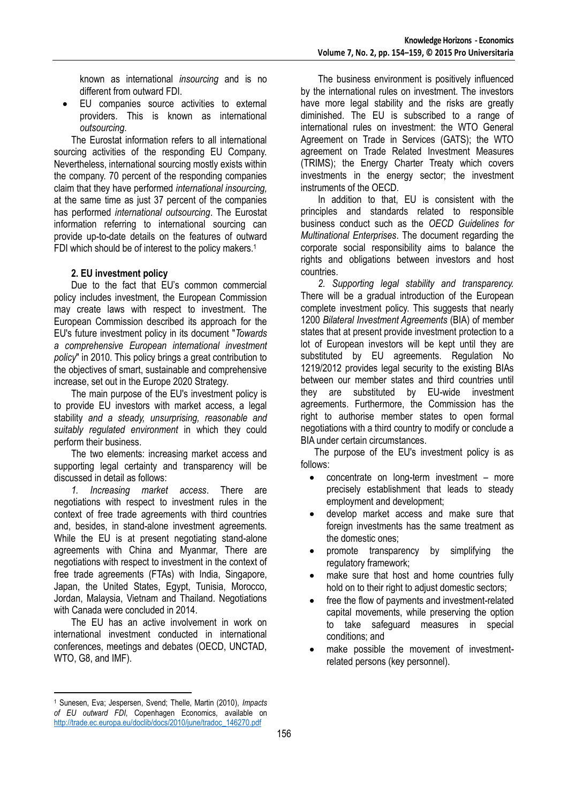known as international *insourcing* and is no different from outward FDI.

 EU companies source activities to external providers. This is known as international *outsourcing*.

The Eurostat information refers to all international sourcing activities of the responding EU Company. Nevertheless, international sourcing mostly exists within the company. 70 percent of the responding companies claim that they have performed *international insourcing,* at the same time as just 37 percent of the companies has performed *international outsourcing*. The Eurostat information referring to international sourcing can provide up-to-date details on the features of outward FDI which should be of interest to the policy makers.<sup>1</sup>

# **2. EU investment policy**

Due to the fact that EU's common commercial policy includes investment, the European Commission may create laws with respect to investment. The European Commission described its approach for the EU's future investment policy in its document "*Towards a comprehensive European international investment policy*" in 2010. This policy brings a great contribution to the objectives of smart, sustainable and comprehensive increase, set out in the Europe 2020 Strategy.

The main purpose of the EU's investment policy is to provide EU investors with market access, a legal stability *and a steady, unsurprising, reasonable and suitably regulated environment* in which they could perform their business.

The two elements: increasing market access and supporting legal certainty and transparency will be discussed in detail as follows:

*1. Increasing market access*. There are negotiations with respect to investment rules in the context of free trade agreements with third countries and, besides, in stand-alone investment agreements. While the EU is at present negotiating stand-alone agreements with China and Myanmar, There are negotiations with respect to investment in the context of free trade agreements (FTAs) with India, Singapore, Japan, the United States, Egypt, Tunisia, Morocco, Jordan, Malaysia, Vietnam and Thailand. Negotiations with Canada were concluded in 2014.

The EU has an active involvement in work on international investment conducted in international conferences, meetings and debates (OECD, UNCTAD, WTO, G8, and IMF).

1 <sup>1</sup> Sunesen, Eva; Jespersen, Svend; Thelle, Martin (2010), *Impacts of EU outward FDI*, Copenhagen Economics, available on [http://trade.ec.europa.eu/doclib/docs/2010/june/tradoc\\_146270.pdf](http://trade.ec.europa.eu/doclib/docs/2010/june/tradoc_146270.pdf)

The business environment is positively influenced by the international rules on investment. The investors have more legal stability and the risks are greatly diminished. The EU is subscribed to a range of international rules on investment: the WTO General Agreement on Trade in Services (GATS); the WTO agreement on Trade Related Investment Measures (TRIMS); the Energy Charter Treaty which covers investments in the energy sector; the investment instruments of the OECD.

In addition to that, EU is consistent with the principles and standards related to responsible business conduct such as the *OECD Guidelines for Multinational Enterprises*. The document regarding the corporate social responsibility aims to balance the rights and obligations between investors and host countries.

*2. Supporting legal stability and transparency.* There will be a gradual introduction of the European complete investment policy. This suggests that nearly 1200 *Bilateral Investment Agreements* (BIA) of member states that at present provide investment protection to a lot of European investors will be kept until they are substituted by EU agreements. Regulation No 1219/2012 provides legal security to the existing BIAs between our member states and third countries until they are substituted by EU-wide investment agreements. Furthermore, the Commission has the right to authorise member states to open formal negotiations with a third country to modify or conclude a BIA under certain circumstances.

The purpose of the EU's investment policy is as follows:

- concentrate on long-term investment more precisely establishment that leads to steady employment and development;
- develop market access and make sure that foreign investments has the same treatment as the domestic ones;
- promote transparency by simplifying the regulatory framework;
- make sure that host and home countries fully hold on to their right to adjust domestic sectors;
- free the flow of payments and investment-related capital movements, while preserving the option to take safeguard measures in special conditions; and
- make possible the movement of investmentrelated persons (key personnel).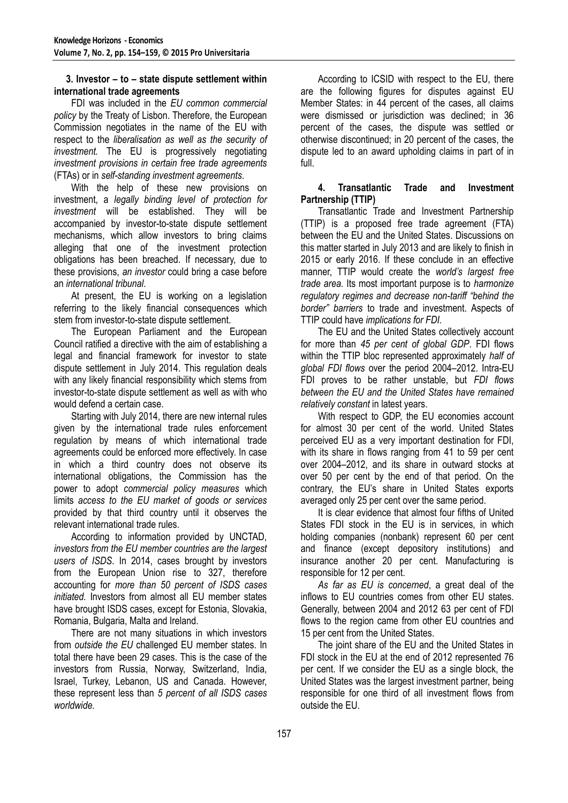# **3. Investor – to – state dispute settlement within international trade agreements**

FDI was included in the *EU common commercial policy* by the Treaty of Lisbon. Therefore, the European Commission negotiates in the name of the EU with respect to the *liberalisation as well as the security of investment.* The EU is progressively negotiating *investment provisions in certain free trade agreements* (FTAs) or in *self-standing investment agreements*.

With the help of these new provisions on investment, a *legally binding level of protection for investment* will be established. They will be accompanied by investor-to-state dispute settlement mechanisms, which allow investors to bring claims alleging that one of the investment protection obligations has been breached. If necessary, due to these provisions, *an investor* could bring a case before an *international tribunal*.

At present, the EU is working on a legislation referring to the likely financial consequences which stem from investor-to-state dispute settlement.

The European Parliament and the European Council ratified a directive with the aim of establishing a legal and financial framework for investor to state dispute settlement in July 2014. This regulation deals with any likely financial responsibility which stems from investor-to-state dispute settlement as well as with who would defend a certain case.

Starting with July 2014, there are new internal rules given by the international trade rules enforcement regulation by means of which international trade agreements could be enforced more effectively. In case in which a third country does not observe its international obligations, the Commission has the power to adopt *commercial policy measures* which limits *access to the EU market of goods or services* provided by that third country until it observes the relevant international trade rules.

According to information provided by UNCTAD, *investors from the EU member countries are the largest users of ISDS*. In 2014, cases brought by investors from the European Union rise to 327, therefore accounting for *more than 50 percent of ISDS cases initiated.* Investors from almost all EU member states have brought ISDS cases, except for Estonia, Slovakia, Romania, Bulgaria, Malta and Ireland.

There are not many situations in which investors from *outside the EU* challenged EU member states. In total there have been 29 cases. This is the case of the investors from Russia, Norway, Switzerland, India, Israel, Turkey, Lebanon, US and Canada. However, these represent less than *5 percent of all ISDS cases worldwide.*

According to ICSID with respect to the EU, there are the following figures for disputes against EU Member States: in 44 percent of the cases, all claims were dismissed or jurisdiction was declined; in 36 percent of the cases, the dispute was settled or otherwise discontinued; in 20 percent of the cases, the dispute led to an award upholding claims in part of in full.

# **4. Transatlantic Trade and Investment Partnership (TTIP)**

Transatlantic Trade and Investment Partnership (TTIP) is a proposed free trade agreement (FTA) between the EU and the United States. Discussions on this matter started in July 2013 and are likely to finish in 2015 or early 2016. If these conclude in an effective manner, TTIP would create the *world's largest free trade area.* Its most important purpose is to *harmonize regulatory regimes and decrease non-tariff "behind the border" barriers* to trade and investment. Aspects of TTIP could have *implications for FDI.*

The EU and the United States collectively account for more than *45 per cent of global GDP*. FDI flows within the TTIP bloc represented approximately *half of global FDI flows* over the period 2004–2012. Intra-EU FDI proves to be rather unstable, but *FDI flows between the EU and the United States have remained relatively constant* in latest years.

With respect to GDP, the EU economies account for almost 30 per cent of the world. United States perceived EU as a very important destination for FDI, with its share in flows ranging from 41 to 59 per cent over 2004–2012, and its share in outward stocks at over 50 per cent by the end of that period. On the contrary, the EU's share in United States exports averaged only 25 per cent over the same period.

It is clear evidence that almost four fifths of United States FDI stock in the EU is in services, in which holding companies (nonbank) represent 60 per cent and finance (except depository institutions) and insurance another 20 per cent. Manufacturing is responsible for 12 per cent.

*As far as EU is concerned*, a great deal of the inflows to EU countries comes from other EU states. Generally, between 2004 and 2012 63 per cent of FDI flows to the region came from other EU countries and 15 per cent from the United States.

The joint share of the EU and the United States in FDI stock in the EU at the end of 2012 represented 76 per cent. If we consider the EU as a single block, the United States was the largest investment partner, being responsible for one third of all investment flows from outside the EU.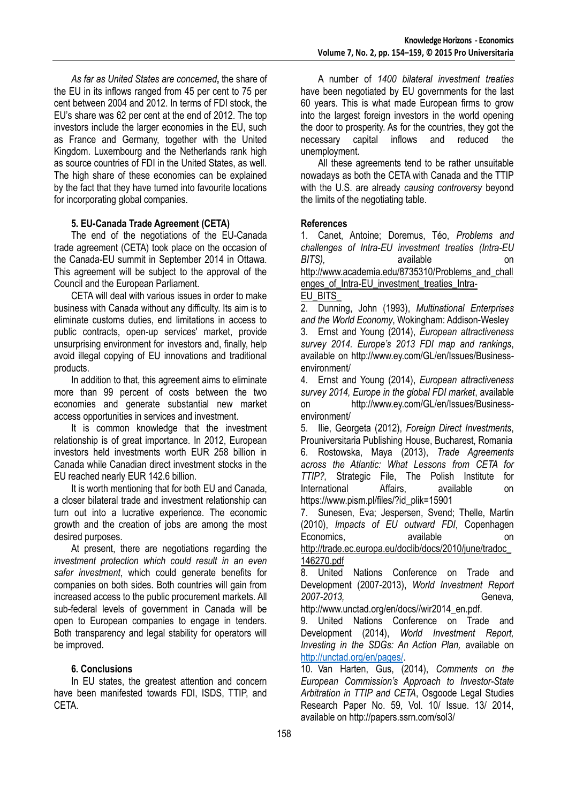*As far as United States are concerned***,** the share of the EU in its inflows ranged from 45 per cent to 75 per cent between 2004 and 2012. In terms of FDI stock, the EU's share was 62 per cent at the end of 2012. The top investors include the larger economies in the EU, such as France and Germany, together with the United Kingdom. Luxembourg and the Netherlands rank high as source countries of FDI in the United States, as well. The high share of these economies can be explained by the fact that they have turned into favourite locations for incorporating global companies.

# **5. EU-Canada Trade Agreement (CETA)**

The end of the negotiations of the EU-Canada trade agreement (CETA) took place on the occasion of the Canada-EU summit in September 2014 in Ottawa. This agreement will be subject to the approval of the Council and the European Parliament.

CETA will deal with various issues in order to make business with Canada without any difficulty. Its aim is to eliminate customs duties, end limitations in access to public contracts, open-up services' market, provide unsurprising environment for investors and, finally, help avoid illegal copying of EU innovations and traditional products.

In addition to that, this agreement aims to eliminate more than 99 percent of costs between the two economies and generate substantial new market access opportunities in services and investment.

It is common knowledge that the investment relationship is of great importance. In 2012, European investors held investments worth EUR 258 billion in Canada while Canadian direct investment stocks in the EU reached nearly EUR 142.6 billion.

It is worth mentioning that for both EU and Canada, a closer bilateral trade and investment relationship can turn out into a lucrative experience. The economic growth and the creation of jobs are among the most desired purposes.

At present, there are negotiations regarding the *investment protection which could result in an even safer investment*, which could generate benefits for companies on both sides. Both countries will gain from increased access to the public procurement markets. All sub-federal levels of government in Canada will be open to European companies to engage in tenders. Both transparency and legal stability for operators will be improved.

## **6. Conclusions**

In EU states, the greatest attention and concern have been manifested towards FDI, ISDS, TTIP, and CETA.

A number of *1400 bilateral investment treaties* have been negotiated by EU governments for the last 60 years. This is what made European firms to grow into the largest foreign investors in the world opening the door to prosperity. As for the countries, they got the necessary capital inflows and reduced the unemployment.

All these agreements tend to be rather unsuitable nowadays as both the CETA with Canada and the TTIP with the U.S. are already *causing controversy* beyond the limits of the negotiating table.

# **References**

1. Canet, Antoine; Doremus, Téo, *Problems and challenges of Intra-EU investment treaties (Intra-EU BITS),* available on [http://www.academia.edu/8735310/Problems\\_and\\_chall](http://www.academia.edu/8735310/Problems_and_challenges_of_Intra-EU_investment_treaties_Intra-EU_BITS_) enges of Intra-EU investment treaties Intra-

#### EU\_BITS

2. Dunning, John (1993), *Multinational Enterprises and the World Economy*, Wokingham: Addison-Wesley

3. Ernst and Young (2014), *European attractiveness survey 2014. Europe's 2013 FDI map and rankings*, available on http://www.ey.com/GL/en/Issues/Businessenvironment/

4. Ernst and Young (2014), *European attractiveness survey 2014, Europe in the global FDI market*, available on http://www.ey.com/GL/en/Issues/Businessenvironment/

5. Ilie, Georgeta (2012), *Foreign Direct Investments*, Prouniversitaria Publishing House, Bucharest, Romania 6. Rostowska, Maya (2013), *Trade Agreements across the Atlantic: What Lessons from CETA for TTIP?,* Strategic File, The Polish Institute for International Affairs, available on https://www.pism.pl/files/?id\_plik=15901

7. Sunesen, Eva; Jespersen, Svend; Thelle, Martin (2010), *Impacts of EU outward FDI*, Copenhagen Economics, available on

[http://trade.ec.europa.eu/doclib/docs/2010/june/tradoc\\_](http://trade.ec.europa.eu/doclib/docs/2010/june/tradoc_146270.pdf) [146270.pdf](http://trade.ec.europa.eu/doclib/docs/2010/june/tradoc_146270.pdf)

8. United Nations Conference on Trade and Development (2007-2013), *World Investment Report 2007-2013,* Geneva*,* 

http://www.unctad.org/en/docs//wir2014\_en.pdf.

9. United Nations Conference on Trade and Development (2014), *World Investment Report, Investing in the SDGs: An Action Plan,* available on [http://unctad.org/en/pages/.](http://unctad.org/en/pages/)

10. Van Harten, Gus, (2014), *Comments on the European Commission's Approach to Investor-State Arbitration in TTIP and CETA*, Osgoode Legal Studies Research Paper No. 59, Vol. 10/ Issue. 13/ 2014, available on http://papers.ssrn.com/sol3/